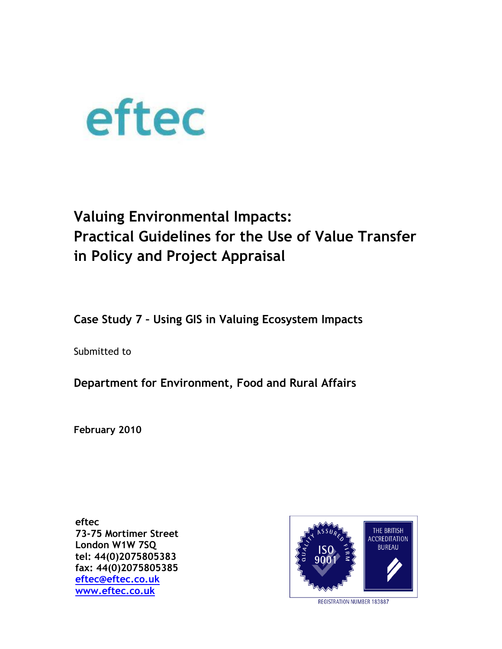

# **Valuing Environmental Impacts: Practical Guidelines for the Use of Value Transfer in Policy and Project Appraisal**

**Case Study 7 – Using GIS in Valuing Ecosystem Impacts**

Submitted to

**Department for Environment, Food and Rural Affairs** 

**February 2010**

**eftec 73-75 Mortimer Street London W1W 7SQ tel: 44(0)2075805383 fax: 44(0)2075805385 [eftec@eftec.co.uk](mailto:eftec@eftec.co.uk) [www.eftec.co.uk](http://www.eftec.co.uk/)**



REGISTRATION NUMBER 183887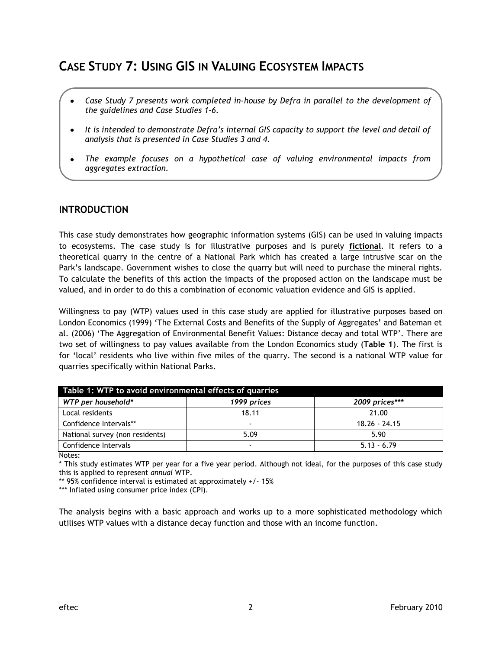# **CASE STUDY 7: USING GIS IN VALUING ECOSYSTEM IMPACTS**

- *Case Study 7 presents work completed in-house by Defra in parallel to the development of the guidelines and Case Studies 1-6.*
- *It is intended to demonstrate Defra's internal GIS capacity to support the level and detail of analysis that is presented in Case Studies 3 and 4.*
- *The example focuses on a hypothetical case of valuing environmental impacts from*   $\bullet$ *aggregates extraction.*

## **INTRODUCTION**

This case study demonstrates how geographic information systems (GIS) can be used in valuing impacts to ecosystems. The case study is for illustrative purposes and is purely **fictional**. It refers to a theoretical quarry in the centre of a National Park which has created a large intrusive scar on the Park's landscape. Government wishes to close the quarry but will need to purchase the mineral rights. To calculate the benefits of this action the impacts of the proposed action on the landscape must be valued, and in order to do this a combination of economic valuation evidence and GIS is applied.

Willingness to pay (WTP) values used in this case study are applied for illustrative purposes based on London Economics (1999) 'The External Costs and Benefits of the Supply of Aggregates' and Bateman et al. (2006) 'The Aggregation of Environmental Benefit Values: Distance decay and total WTP'. There are two set of willingness to pay values available from the London Economics study (**Table 1**). The first is for 'local' residents who live within five miles of the quarry. The second is a national WTP value for quarries specifically within National Parks.

| Table 1: WTP to avoid environmental effects of quarries |                          |                 |  |  |
|---------------------------------------------------------|--------------------------|-----------------|--|--|
| WTP per household*                                      | 1999 prices              | 2009 prices***  |  |  |
| Local residents                                         | 18.11                    | 21.00           |  |  |
| Confidence Intervals**                                  | $\overline{\phantom{0}}$ | $18.26 - 24.15$ |  |  |
| National survey (non residents)                         | 5.09                     | 5.90            |  |  |
| Confidence Intervals                                    | -                        | $5.13 - 6.79$   |  |  |

Notes:

\* This study estimates WTP per year for a five year period. Although not ideal, for the purposes of this case study this is applied to represent *annual* WTP.

\*\* 95% confidence interval is estimated at approximately +/- 15%

\*\*\* Inflated using consumer price index (CPI).

The analysis begins with a basic approach and works up to a more sophisticated methodology which utilises WTP values with a distance decay function and those with an income function.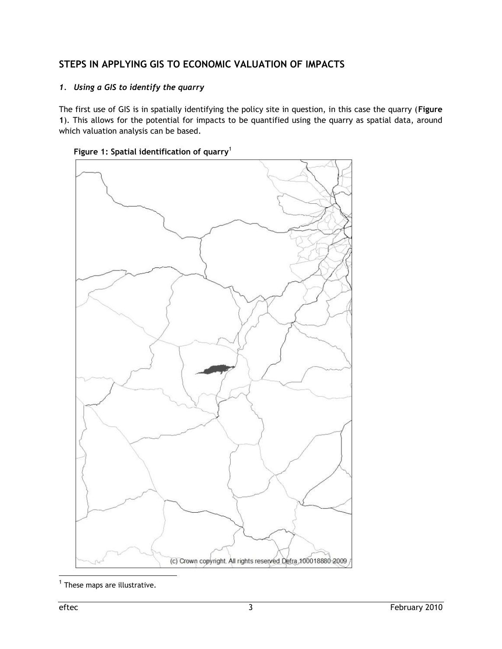# **STEPS IN APPLYING GIS TO ECONOMIC VALUATION OF IMPACTS**

### *1. Using a GIS to identify the quarry*

The first use of GIS is in spatially identifying the policy site in question, in this case the quarry (**Figure 1**). This allows for the potential for impacts to be quantified using the quarry as spatial data, around which valuation analysis can be based.





 1 These maps are illustrative.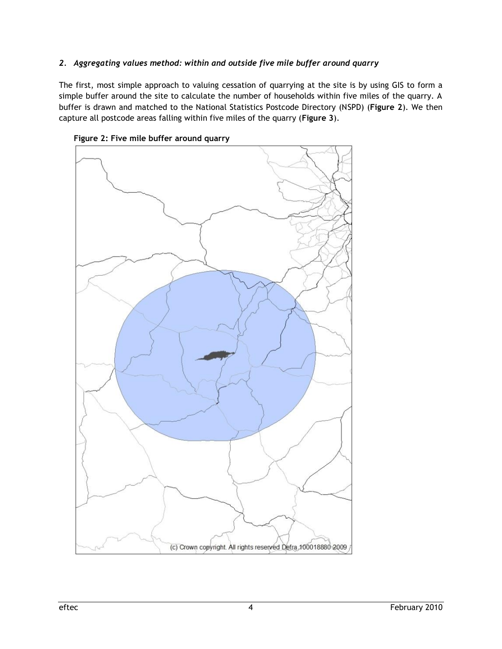#### *2. Aggregating values method: within and outside five mile buffer around quarry*

The first, most simple approach to valuing cessation of quarrying at the site is by using GIS to form a simple buffer around the site to calculate the number of households within five miles of the quarry. A buffer is drawn and matched to the National Statistics Postcode Directory (NSPD) (**Figure 2**). We then capture all postcode areas falling within five miles of the quarry (**Figure 3**).



**Figure 2: Five mile buffer around quarry**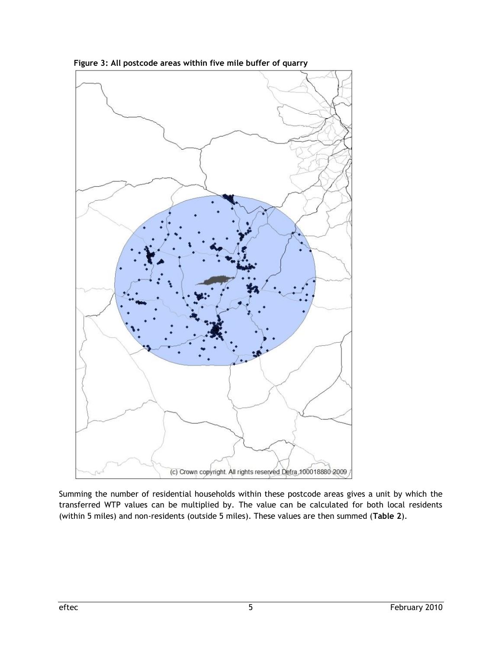

**Figure 3: All postcode areas within five mile buffer of quarry**

Summing the number of residential households within these postcode areas gives a unit by which the transferred WTP values can be multiplied by. The value can be calculated for both local residents (within 5 miles) and non-residents (outside 5 miles). These values are then summed (**Table 2**).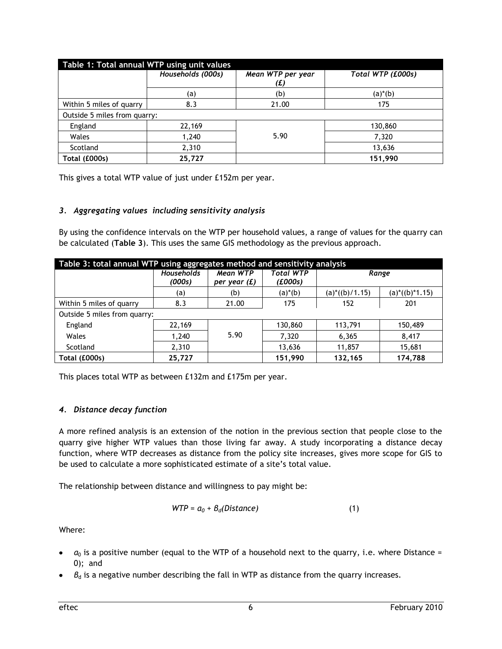| Table 1: Total annual WTP using unit values |                   |                          |                   |  |  |
|---------------------------------------------|-------------------|--------------------------|-------------------|--|--|
|                                             | Households (000s) | Mean WTP per year<br>(£) | Total WTP (£000s) |  |  |
|                                             | (a)               | (b)                      | $(a)*(b)$         |  |  |
| Within 5 miles of quarry<br>8.3             |                   | 21.00                    | 175               |  |  |
| Outside 5 miles from quarry:                |                   |                          |                   |  |  |
| England                                     | 22,169            |                          | 130,860           |  |  |
| Wales                                       | 1,240             | 5.90                     | 7,320             |  |  |
| Scotland                                    | 2,310             |                          | 13,636            |  |  |
| Total (£000s)                               | 25,727            |                          | 151,990           |  |  |

This gives a total WTP value of just under £152m per year.

#### *3. Aggregating values including sensitivity analysis*

By using the confidence intervals on the WTP per household values, a range of values for the quarry can be calculated (**Table 3**). This uses the same GIS methodology as the previous approach.

| Table 3: total annual WTP using aggregates method and sensitivity analysis |                             |                            |                             |                                  |                 |  |
|----------------------------------------------------------------------------|-----------------------------|----------------------------|-----------------------------|----------------------------------|-----------------|--|
|                                                                            | <b>Households</b><br>(000s) | Mean WTP<br>per year $(f)$ | <b>Total WTP</b><br>(£000s) | Range                            |                 |  |
|                                                                            | (a)                         | (b)                        | $(a)*(b)$                   | $(a)$ <sup>*</sup> $((b)$ /1.15) | $(a)*(b)*1.15)$ |  |
| Within 5 miles of quarry                                                   | 8.3                         | 21.00                      | 175                         | 152                              | 201             |  |
| Outside 5 miles from quarry:                                               |                             |                            |                             |                                  |                 |  |
| England                                                                    | 22,169                      |                            | 130,860                     | 113,791                          | 150,489         |  |
| Wales                                                                      | 1,240                       | 5.90                       | 7,320                       | 6,365                            | 8,417           |  |
| Scotland                                                                   | 2,310                       |                            | 13,636                      | 11,857                           | 15,681          |  |
| Total (£000s)                                                              | 25,727                      |                            | 151,990                     | 132,165                          | 174,788         |  |

This places total WTP as between £132m and £175m per year.

#### *4. Distance decay function*

A more refined analysis is an extension of the notion in the previous section that people close to the quarry give higher WTP values than those living far away. A study incorporating a distance decay function, where WTP decreases as distance from the policy site increases, gives more scope for GIS to be used to calculate a more sophisticated estimate of a site's total value.

The relationship between distance and willingness to pay might be:

$$
WTP = a_0 + B_d(Distance)
$$
 (1)

Where:

- $a_0$  is a positive number (equal to the WTP of a household next to the quarry, i.e. where Distance = 0); and
- *β* is a negative number describing the fall in WTP as distance from the quarry increases.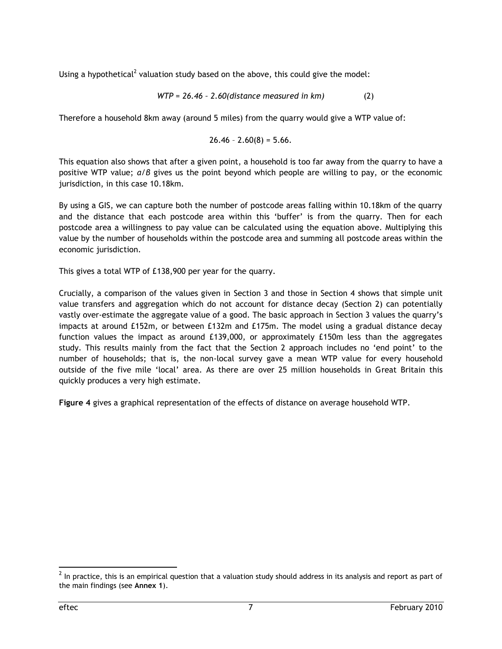Using a hypothetical<sup>2</sup> valuation study based on the above, this could give the model:

$$
WTP = 26.46 - 2.60 (distance measured in km)
$$
 (2)

Therefore a household 8km away (around 5 miles) from the quarry would give a WTP value of:

$$
26.46 - 2.60(8) = 5.66.
$$

This equation also shows that after a given point, a household is too far away from the quarry to have a positive WTP value; *α/β* gives us the point beyond which people are willing to pay, or the economic jurisdiction, in this case 10.18km.

By using a GIS, we can capture both the number of postcode areas falling within 10.18km of the quarry and the distance that each postcode area within this 'buffer' is from the quarry. Then for each postcode area a willingness to pay value can be calculated using the equation above. Multiplying this value by the number of households within the postcode area and summing all postcode areas within the economic jurisdiction.

This gives a total WTP of £138,900 per year for the quarry.

Crucially, a comparison of the values given in Section 3 and those in Section 4 shows that simple unit value transfers and aggregation which do not account for distance decay (Section 2) can potentially vastly over-estimate the aggregate value of a good. The basic approach in Section 3 values the quarry's impacts at around £152m, or between £132m and £175m. The model using a gradual distance decay function values the impact as around £139,000, or approximately £150m less than the aggregates study. This results mainly from the fact that the Section 2 approach includes no 'end point' to the number of households; that is, the non-local survey gave a mean WTP value for every household outside of the five mile 'local' area. As there are over 25 million households in Great Britain this quickly produces a very high estimate.

**Figure 4** gives a graphical representation of the effects of distance on average household WTP.

 $\overline{a}$  $^2$  In practice, this is an empirical question that a valuation study should address in its analysis and report as part of the main findings (see **Annex 1**).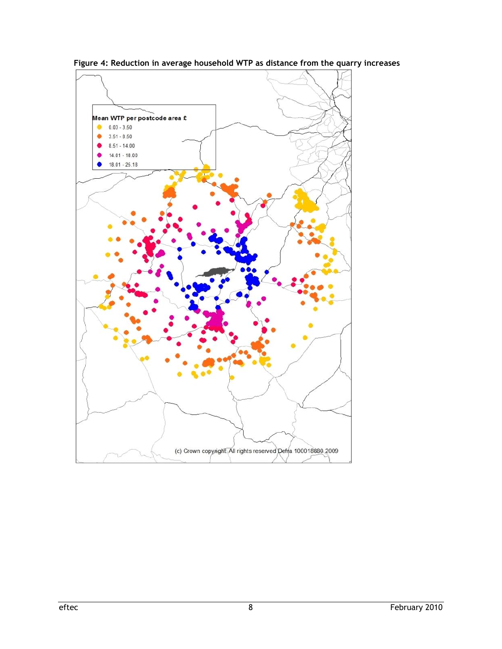

**Figure 4: Reduction in average household WTP as distance from the quarry increases**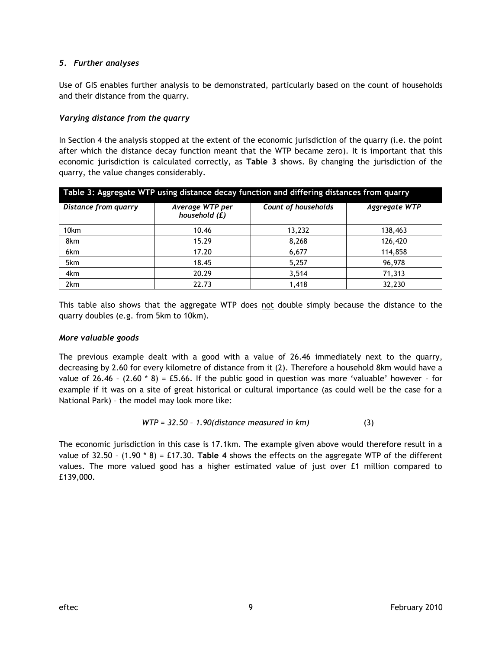#### *5. Further analyses*

Use of GIS enables further analysis to be demonstrated, particularly based on the count of households and their distance from the quarry.

#### *Varying distance from the quarry*

In Section 4 the analysis stopped at the extent of the economic jurisdiction of the quarry (i.e. the point after which the distance decay function meant that the WTP became zero). It is important that this economic jurisdiction is calculated correctly, as **Table 3** shows. By changing the jurisdiction of the quarry, the value changes considerably.

| Table 3: Aggregate WTP using distance decay function and differing distances from quarry |                                  |                            |               |  |  |  |
|------------------------------------------------------------------------------------------|----------------------------------|----------------------------|---------------|--|--|--|
| Distance from quarry                                                                     | Average WTP per<br>household (£) | <b>Count of households</b> | Aggregate WTP |  |  |  |
| 10 <sub>km</sub>                                                                         | 10.46                            | 13,232                     | 138,463       |  |  |  |
| 8km                                                                                      | 15.29                            | 8,268                      | 126,420       |  |  |  |
| 6km                                                                                      | 17.20                            | 6,677                      | 114,858       |  |  |  |
| 5km                                                                                      | 18.45                            | 5,257                      | 96,978        |  |  |  |
| 4km                                                                                      | 20.29                            | 3,514                      | 71,313        |  |  |  |
| 2km                                                                                      | 22.73                            | 1.418                      | 32,230        |  |  |  |

This table also shows that the aggregate WTP does not double simply because the distance to the quarry doubles (e.g. from 5km to 10km).

#### *More valuable goods*

The previous example dealt with a good with a value of 26.46 immediately next to the quarry, decreasing by 2.60 for every kilometre of distance from it (2). Therefore a household 8km would have a value of 26.46 -  $(2.60 * 8) = £5.66$ . If the public good in question was more 'valuable' however - for example if it was on a site of great historical or cultural importance (as could well be the case for a National Park) – the model may look more like:

$$
WTP = 32.50 - 1.90 (distance measured in km)
$$
 (3)

The economic jurisdiction in this case is 17.1km. The example given above would therefore result in a value of 32.50 – (1.90 \* 8) = £17.30. **Table 4** shows the effects on the aggregate WTP of the different values. The more valued good has a higher estimated value of just over £1 million compared to £139,000.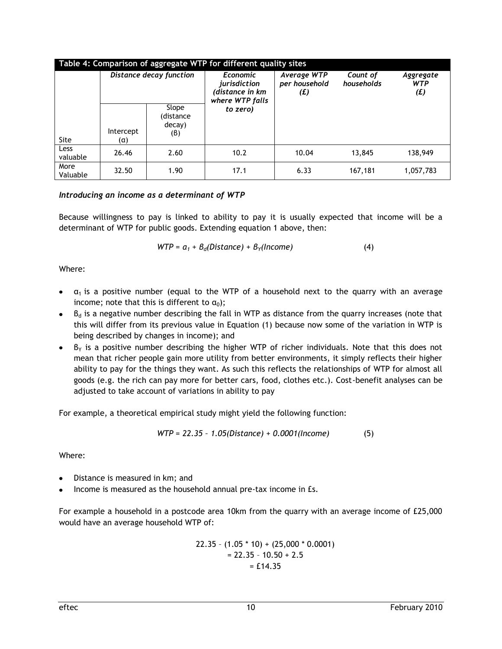| Table 4: Comparison of aggregate WTP for different quality sites |                         |                                     |                                                                       |                                     |                        |                                |
|------------------------------------------------------------------|-------------------------|-------------------------------------|-----------------------------------------------------------------------|-------------------------------------|------------------------|--------------------------------|
|                                                                  | Distance decay function |                                     | <b>Economic</b><br>jurisdiction<br>(distance in km<br>where WTP falls | Average WTP<br>per household<br>(E) | Count of<br>households | Aggregate<br><b>WTP</b><br>(E) |
| <b>Site</b>                                                      | Intercept<br>(α)        | Slope<br>(distance<br>decay)<br>(B) | to zero)                                                              |                                     |                        |                                |
| Less<br>valuable                                                 | 26.46                   | 2.60                                | 10.2                                                                  | 10.04                               | 13,845                 | 138,949                        |
| More<br>Valuable                                                 | 32.50                   | 1.90                                | 17.1                                                                  | 6.33                                | 167,181                | 1,057,783                      |

#### *Introducing an income as a determinant of WTP*

Because willingness to pay is linked to ability to pay it is usually expected that income will be a determinant of WTP for public goods. Extending equation 1 above, then:

$$
WTP = a_1 + B_d(Distance) + B_Y(Income)
$$
 (4)

Where:

- $\alpha_1$  is a positive number (equal to the WTP of a household next to the quarry with an average income; note that this is different to  $\alpha_0$ );
- $\bullet$  B<sub>d</sub> is a negative number describing the fall in WTP as distance from the quarry increases (note that this will differ from its previous value in Equation (1) because now some of the variation in WTP is being described by changes in income); and
- $B_Y$  is a positive number describing the higher WTP of richer individuals. Note that this does not mean that richer people gain more utility from better environments, it simply reflects their higher ability to pay for the things they want. As such this reflects the relationships of WTP for almost all goods (e.g. the rich can pay more for better cars, food, clothes etc.). Cost-benefit analyses can be adjusted to take account of variations in ability to pay

For example, a theoretical empirical study might yield the following function:

$$
WTP = 22.35 - 1.05(Distance) + 0.0001(hcome)
$$
 (5)

Where:

- Distance is measured in km; and
- Income is measured as the household annual pre-tax income in £s.

For example a household in a postcode area 10km from the quarry with an average income of £25,000 would have an average household WTP of:

$$
22.35 - (1.05 * 10) + (25,000 * 0.0001)
$$
  
= 22.35 - 10.50 + 2.5  
= £14.35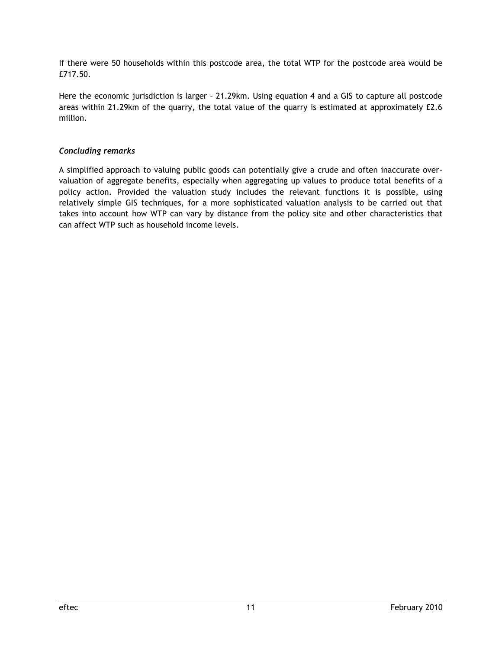If there were 50 households within this postcode area, the total WTP for the postcode area would be £717.50.

Here the economic jurisdiction is larger – 21.29km. Using equation 4 and a GIS to capture all postcode areas within 21.29km of the quarry, the total value of the quarry is estimated at approximately £2.6 million.

#### *Concluding remarks*

A simplified approach to valuing public goods can potentially give a crude and often inaccurate overvaluation of aggregate benefits, especially when aggregating up values to produce total benefits of a policy action. Provided the valuation study includes the relevant functions it is possible, using relatively simple GIS techniques, for a more sophisticated valuation analysis to be carried out that takes into account how WTP can vary by distance from the policy site and other characteristics that can affect WTP such as household income levels.